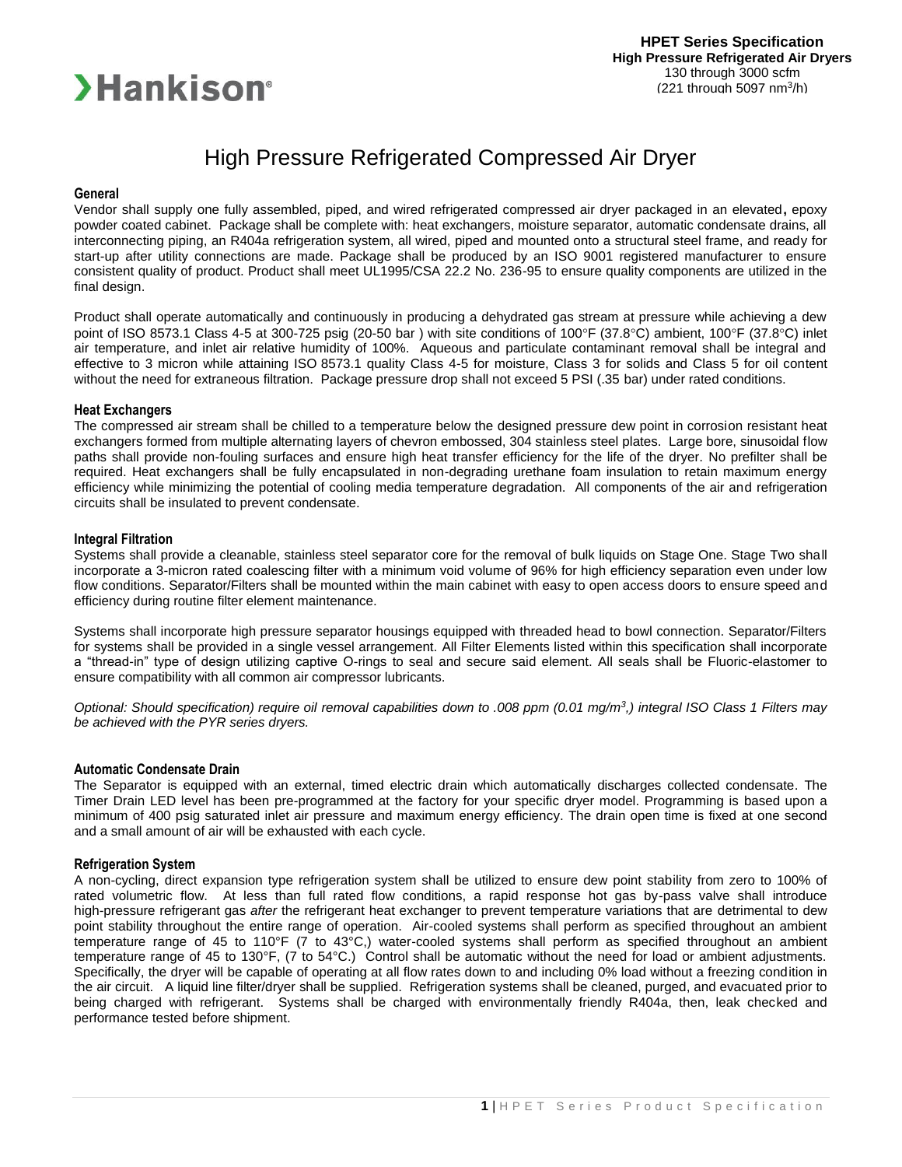

# High Pressure Refrigerated Compressed Air Dryer

#### **General**

Vendor shall supply one fully assembled, piped, and wired refrigerated compressed air dryer packaged in an elevated**,** epoxy powder coated cabinet. Package shall be complete with: heat exchangers, moisture separator, automatic condensate drains, all interconnecting piping, an R404a refrigeration system, all wired, piped and mounted onto a structural steel frame, and ready for start-up after utility connections are made. Package shall be produced by an ISO 9001 registered manufacturer to ensure consistent quality of product. Product shall meet UL1995/CSA 22.2 No. 236-95 to ensure quality components are utilized in the final design.

Product shall operate automatically and continuously in producing a dehydrated gas stream at pressure while achieving a dew point of ISO 8573.1 Class 4-5 at 300-725 psig (20-50 bar ) with site conditions of 100°F (37.8°C) ambient, 100°F (37.8°C) inlet air temperature, and inlet air relative humidity of 100%. Aqueous and particulate contaminant removal shall be integral and effective to 3 micron while attaining ISO 8573.1 quality Class 4-5 for moisture, Class 3 for solids and Class 5 for oil content without the need for extraneous filtration. Package pressure drop shall not exceed 5 PSI (.35 bar) under rated conditions.

#### **Heat Exchangers**

The compressed air stream shall be chilled to a temperature below the designed pressure dew point in corrosion resistant heat exchangers formed from multiple alternating layers of chevron embossed, 304 stainless steel plates. Large bore, sinusoidal flow paths shall provide non-fouling surfaces and ensure high heat transfer efficiency for the life of the dryer. No prefilter shall be required. Heat exchangers shall be fully encapsulated in non-degrading urethane foam insulation to retain maximum energy efficiency while minimizing the potential of cooling media temperature degradation. All components of the air and refrigeration circuits shall be insulated to prevent condensate.

#### **Integral Filtration**

Systems shall provide a cleanable, stainless steel separator core for the removal of bulk liquids on Stage One. Stage Two shall incorporate a 3-micron rated coalescing filter with a minimum void volume of 96% for high efficiency separation even under low flow conditions. Separator/Filters shall be mounted within the main cabinet with easy to open access doors to ensure speed and efficiency during routine filter element maintenance.

Systems shall incorporate high pressure separator housings equipped with threaded head to bowl connection. Separator/Filters for systems shall be provided in a single vessel arrangement. All Filter Elements listed within this specification shall incorporate a "thread-in" type of design utilizing captive O-rings to seal and secure said element. All seals shall be Fluoric-elastomer to ensure compatibility with all common air compressor lubricants.

*Optional: Should specification) require oil removal capabilities down to .008 ppm (0.01 mg/m<sup>3</sup> ,) integral ISO Class 1 Filters may be achieved with the PYR series dryers.*

#### **Automatic Condensate Drain**

The Separator is equipped with an external, timed electric drain which automatically discharges collected condensate. The Timer Drain LED level has been pre-programmed at the factory for your specific dryer model. Programming is based upon a minimum of 400 psig saturated inlet air pressure and maximum energy efficiency. The drain open time is fixed at one second and a small amount of air will be exhausted with each cycle.

#### **Refrigeration System**

A non-cycling, direct expansion type refrigeration system shall be utilized to ensure dew point stability from zero to 100% of rated volumetric flow. At less than full rated flow conditions, a rapid response hot gas by-pass valve shall introduce high-pressure refrigerant gas *after* the refrigerant heat exchanger to prevent temperature variations that are detrimental to dew point stability throughout the entire range of operation. Air-cooled systems shall perform as specified throughout an ambient temperature range of 45 to 110°F (7 to 43°C,) water-cooled systems shall perform as specified throughout an ambient temperature range of 45 to 130°F, (7 to 54°C.) Control shall be automatic without the need for load or ambient adjustments. Specifically, the dryer will be capable of operating at all flow rates down to and including 0% load without a freezing condition in the air circuit. A liquid line filter/dryer shall be supplied. Refrigeration systems shall be cleaned, purged, and evacuated prior to being charged with refrigerant. Systems shall be charged with environmentally friendly R404a, then, leak checked and performance tested before shipment.